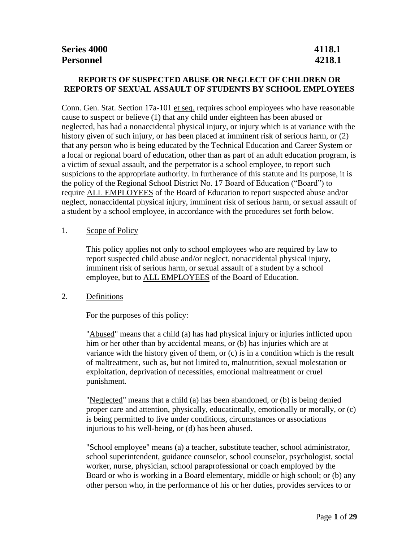### **REPORTS OF SUSPECTED ABUSE OR NEGLECT OF CHILDREN OR REPORTS OF SEXUAL ASSAULT OF STUDENTS BY SCHOOL EMPLOYEES**

Conn. Gen. Stat. Section 17a-101 et seq. requires school employees who have reasonable cause to suspect or believe (1) that any child under eighteen has been abused or neglected, has had a nonaccidental physical injury, or injury which is at variance with the history given of such injury, or has been placed at imminent risk of serious harm, or (2) that any person who is being educated by the Technical Education and Career System or a local or regional board of education, other than as part of an adult education program, is a victim of sexual assault, and the perpetrator is a school employee, to report such suspicions to the appropriate authority. In furtherance of this statute and its purpose, it is the policy of the Regional School District No. 17 Board of Education ("Board") to require ALL EMPLOYEES of the Board of Education to report suspected abuse and/or neglect, nonaccidental physical injury, imminent risk of serious harm, or sexual assault of a student by a school employee, in accordance with the procedures set forth below.

### 1. Scope of Policy

This policy applies not only to school employees who are required by law to report suspected child abuse and/or neglect, nonaccidental physical injury, imminent risk of serious harm, or sexual assault of a student by a school employee, but to **ALL EMPLOYEES** of the Board of Education.

### 2. Definitions

For the purposes of this policy:

"Abused" means that a child (a) has had physical injury or injuries inflicted upon him or her other than by accidental means, or (b) has injuries which are at variance with the history given of them, or (c) is in a condition which is the result of maltreatment, such as, but not limited to, malnutrition, sexual molestation or exploitation, deprivation of necessities, emotional maltreatment or cruel punishment.

"Neglected" means that a child (a) has been abandoned, or (b) is being denied proper care and attention, physically, educationally, emotionally or morally, or (c) is being permitted to live under conditions, circumstances or associations injurious to his well-being, or (d) has been abused.

"School employee" means (a) a teacher, substitute teacher, school administrator, school superintendent, guidance counselor, school counselor, psychologist, social worker, nurse, physician, school paraprofessional or coach employed by the Board or who is working in a Board elementary, middle or high school; or (b) any other person who, in the performance of his or her duties, provides services to or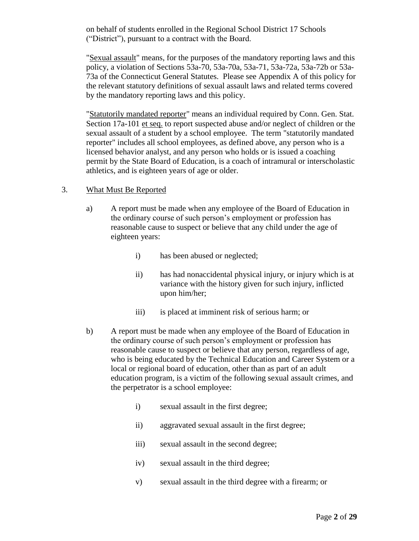on behalf of students enrolled in the Regional School District 17 Schools ("District"), pursuant to a contract with the Board.

"Sexual assault" means, for the purposes of the mandatory reporting laws and this policy, a violation of Sections 53a-70, 53a-70a, 53a-71, 53a-72a, 53a-72b or 53a-73a of the Connecticut General Statutes. Please see Appendix A of this policy for the relevant statutory definitions of sexual assault laws and related terms covered by the mandatory reporting laws and this policy.

"Statutorily mandated reporter" means an individual required by Conn. Gen. Stat. Section 17a-101 et seq. to report suspected abuse and/or neglect of children or the sexual assault of a student by a school employee. The term "statutorily mandated reporter" includes all school employees, as defined above, any person who is a licensed behavior analyst, and any person who holds or is issued a coaching permit by the State Board of Education, is a coach of intramural or interscholastic athletics, and is eighteen years of age or older.

### 3. What Must Be Reported

- a) A report must be made when any employee of the Board of Education in the ordinary course of such person's employment or profession has reasonable cause to suspect or believe that any child under the age of eighteen years:
	- i) has been abused or neglected;
	- ii) has had nonaccidental physical injury, or injury which is at variance with the history given for such injury, inflicted upon him/her;
	- iii) is placed at imminent risk of serious harm; or
- b) A report must be made when any employee of the Board of Education in the ordinary course of such person's employment or profession has reasonable cause to suspect or believe that any person, regardless of age, who is being educated by the Technical Education and Career System or a local or regional board of education, other than as part of an adult education program, is a victim of the following sexual assault crimes, and the perpetrator is a school employee:
	- i) sexual assault in the first degree;
	- ii) aggravated sexual assault in the first degree;
	- iii) sexual assault in the second degree;
	- iv) sexual assault in the third degree;
	- v) sexual assault in the third degree with a firearm; or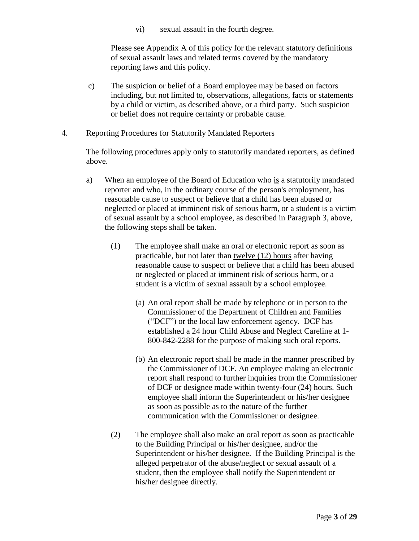vi) sexual assault in the fourth degree.

Please see Appendix A of this policy for the relevant statutory definitions of sexual assault laws and related terms covered by the mandatory reporting laws and this policy.

c) The suspicion or belief of a Board employee may be based on factors including, but not limited to, observations, allegations, facts or statements by a child or victim, as described above, or a third party. Such suspicion or belief does not require certainty or probable cause.

### 4. Reporting Procedures for Statutorily Mandated Reporters

The following procedures apply only to statutorily mandated reporters, as defined above.

- a) When an employee of the Board of Education who is a statutorily mandated reporter and who, in the ordinary course of the person's employment, has reasonable cause to suspect or believe that a child has been abused or neglected or placed at imminent risk of serious harm, or a student is a victim of sexual assault by a school employee, as described in Paragraph 3, above, the following steps shall be taken.
	- (1) The employee shall make an oral or electronic report as soon as practicable, but not later than twelve (12) hours after having reasonable cause to suspect or believe that a child has been abused or neglected or placed at imminent risk of serious harm, or a student is a victim of sexual assault by a school employee.
		- (a) An oral report shall be made by telephone or in person to the Commissioner of the Department of Children and Families ("DCF") or the local law enforcement agency. DCF has established a 24 hour Child Abuse and Neglect Careline at 1- 800-842-2288 for the purpose of making such oral reports.
		- (b) An electronic report shall be made in the manner prescribed by the Commissioner of DCF. An employee making an electronic report shall respond to further inquiries from the Commissioner of DCF or designee made within twenty-four (24) hours. Such employee shall inform the Superintendent or his/her designee as soon as possible as to the nature of the further communication with the Commissioner or designee.
	- (2) The employee shall also make an oral report as soon as practicable to the Building Principal or his/her designee, and/or the Superintendent or his/her designee. If the Building Principal is the alleged perpetrator of the abuse/neglect or sexual assault of a student, then the employee shall notify the Superintendent or his/her designee directly.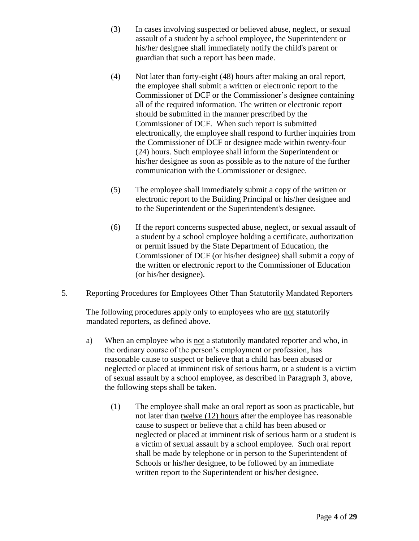- (3) In cases involving suspected or believed abuse, neglect, or sexual assault of a student by a school employee, the Superintendent or his/her designee shall immediately notify the child's parent or guardian that such a report has been made.
- (4) Not later than forty-eight (48) hours after making an oral report, the employee shall submit a written or electronic report to the Commissioner of DCF or the Commissioner's designee containing all of the required information. The written or electronic report should be submitted in the manner prescribed by the Commissioner of DCF. When such report is submitted electronically, the employee shall respond to further inquiries from the Commissioner of DCF or designee made within twenty-four (24) hours. Such employee shall inform the Superintendent or his/her designee as soon as possible as to the nature of the further communication with the Commissioner or designee.
- (5) The employee shall immediately submit a copy of the written or electronic report to the Building Principal or his/her designee and to the Superintendent or the Superintendent's designee.
- (6) If the report concerns suspected abuse, neglect, or sexual assault of a student by a school employee holding a certificate, authorization or permit issued by the State Department of Education, the Commissioner of DCF (or his/her designee) shall submit a copy of the written or electronic report to the Commissioner of Education (or his/her designee).

# 5. Reporting Procedures for Employees Other Than Statutorily Mandated Reporters

The following procedures apply only to employees who are not statutorily mandated reporters, as defined above.

- a) When an employee who is not a statutorily mandated reporter and who, in the ordinary course of the person's employment or profession, has reasonable cause to suspect or believe that a child has been abused or neglected or placed at imminent risk of serious harm, or a student is a victim of sexual assault by a school employee, as described in Paragraph 3, above, the following steps shall be taken.
	- (1) The employee shall make an oral report as soon as practicable, but not later than twelve (12) hours after the employee has reasonable cause to suspect or believe that a child has been abused or neglected or placed at imminent risk of serious harm or a student is a victim of sexual assault by a school employee. Such oral report shall be made by telephone or in person to the Superintendent of Schools or his/her designee, to be followed by an immediate written report to the Superintendent or his/her designee.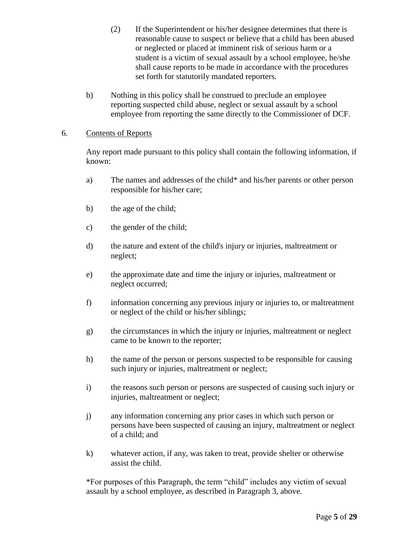(2) If the Superintendent or his/her designee determines that there is reasonable cause to suspect or believe that a child has been abused or neglected or placed at imminent risk of serious harm or a student is a victim of sexual assault by a school employee, he/she shall cause reports to be made in accordance with the procedures set forth for statutorily mandated reporters.

b) Nothing in this policy shall be construed to preclude an employee reporting suspected child abuse, neglect or sexual assault by a school employee from reporting the same directly to the Commissioner of DCF.

### 6. Contents of Reports

Any report made pursuant to this policy shall contain the following information, if known:

- a) The names and addresses of the child\* and his/her parents or other person responsible for his/her care;
- b) the age of the child;
- c) the gender of the child;
- d) the nature and extent of the child's injury or injuries, maltreatment or neglect;
- e) the approximate date and time the injury or injuries, maltreatment or neglect occurred;
- f) information concerning any previous injury or injuries to, or maltreatment or neglect of the child or his/her siblings;
- g) the circumstances in which the injury or injuries, maltreatment or neglect came to be known to the reporter;
- h) the name of the person or persons suspected to be responsible for causing such injury or injuries, maltreatment or neglect;
- i) the reasons such person or persons are suspected of causing such injury or injuries, maltreatment or neglect;
- j) any information concerning any prior cases in which such person or persons have been suspected of causing an injury, maltreatment or neglect of a child; and
- k) whatever action, if any, was taken to treat, provide shelter or otherwise assist the child.

\*For purposes of this Paragraph, the term "child" includes any victim of sexual assault by a school employee, as described in Paragraph 3, above.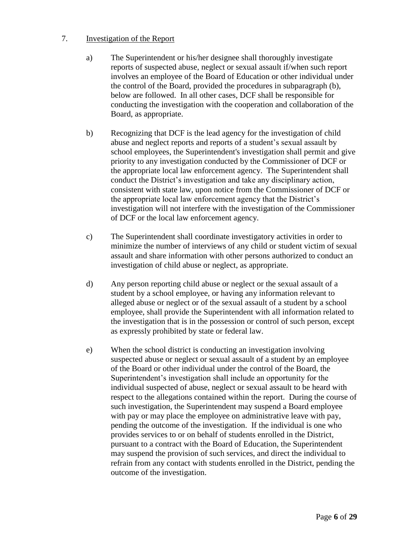### 7. Investigation of the Report

- a) The Superintendent or his/her designee shall thoroughly investigate reports of suspected abuse, neglect or sexual assault if/when such report involves an employee of the Board of Education or other individual under the control of the Board, provided the procedures in subparagraph (b), below are followed. In all other cases, DCF shall be responsible for conducting the investigation with the cooperation and collaboration of the Board, as appropriate.
- b) Recognizing that DCF is the lead agency for the investigation of child abuse and neglect reports and reports of a student's sexual assault by school employees, the Superintendent's investigation shall permit and give priority to any investigation conducted by the Commissioner of DCF or the appropriate local law enforcement agency. The Superintendent shall conduct the District's investigation and take any disciplinary action, consistent with state law, upon notice from the Commissioner of DCF or the appropriate local law enforcement agency that the District's investigation will not interfere with the investigation of the Commissioner of DCF or the local law enforcement agency.
- c) The Superintendent shall coordinate investigatory activities in order to minimize the number of interviews of any child or student victim of sexual assault and share information with other persons authorized to conduct an investigation of child abuse or neglect, as appropriate.
- d) Any person reporting child abuse or neglect or the sexual assault of a student by a school employee, or having any information relevant to alleged abuse or neglect or of the sexual assault of a student by a school employee, shall provide the Superintendent with all information related to the investigation that is in the possession or control of such person, except as expressly prohibited by state or federal law.
- e) When the school district is conducting an investigation involving suspected abuse or neglect or sexual assault of a student by an employee of the Board or other individual under the control of the Board, the Superintendent's investigation shall include an opportunity for the individual suspected of abuse, neglect or sexual assault to be heard with respect to the allegations contained within the report. During the course of such investigation, the Superintendent may suspend a Board employee with pay or may place the employee on administrative leave with pay, pending the outcome of the investigation. If the individual is one who provides services to or on behalf of students enrolled in the District, pursuant to a contract with the Board of Education, the Superintendent may suspend the provision of such services, and direct the individual to refrain from any contact with students enrolled in the District, pending the outcome of the investigation.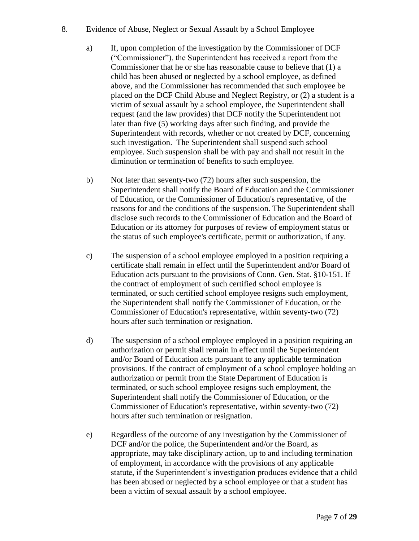### 8. Evidence of Abuse, Neglect or Sexual Assault by a School Employee

- a) If, upon completion of the investigation by the Commissioner of DCF ("Commissioner"), the Superintendent has received a report from the Commissioner that he or she has reasonable cause to believe that (1) a child has been abused or neglected by a school employee, as defined above, and the Commissioner has recommended that such employee be placed on the DCF Child Abuse and Neglect Registry, or (2) a student is a victim of sexual assault by a school employee, the Superintendent shall request (and the law provides) that DCF notify the Superintendent not later than five (5) working days after such finding, and provide the Superintendent with records, whether or not created by DCF, concerning such investigation. The Superintendent shall suspend such school employee. Such suspension shall be with pay and shall not result in the diminution or termination of benefits to such employee.
- b) Not later than seventy-two (72) hours after such suspension, the Superintendent shall notify the Board of Education and the Commissioner of Education, or the Commissioner of Education's representative, of the reasons for and the conditions of the suspension. The Superintendent shall disclose such records to the Commissioner of Education and the Board of Education or its attorney for purposes of review of employment status or the status of such employee's certificate, permit or authorization, if any.
- c) The suspension of a school employee employed in a position requiring a certificate shall remain in effect until the Superintendent and/or Board of Education acts pursuant to the provisions of Conn. Gen. Stat. §10-151. If the contract of employment of such certified school employee is terminated, or such certified school employee resigns such employment, the Superintendent shall notify the Commissioner of Education, or the Commissioner of Education's representative, within seventy-two (72) hours after such termination or resignation.
- d) The suspension of a school employee employed in a position requiring an authorization or permit shall remain in effect until the Superintendent and/or Board of Education acts pursuant to any applicable termination provisions. If the contract of employment of a school employee holding an authorization or permit from the State Department of Education is terminated, or such school employee resigns such employment, the Superintendent shall notify the Commissioner of Education, or the Commissioner of Education's representative, within seventy-two (72) hours after such termination or resignation.
- e) Regardless of the outcome of any investigation by the Commissioner of DCF and/or the police, the Superintendent and/or the Board, as appropriate, may take disciplinary action, up to and including termination of employment, in accordance with the provisions of any applicable statute, if the Superintendent's investigation produces evidence that a child has been abused or neglected by a school employee or that a student has been a victim of sexual assault by a school employee.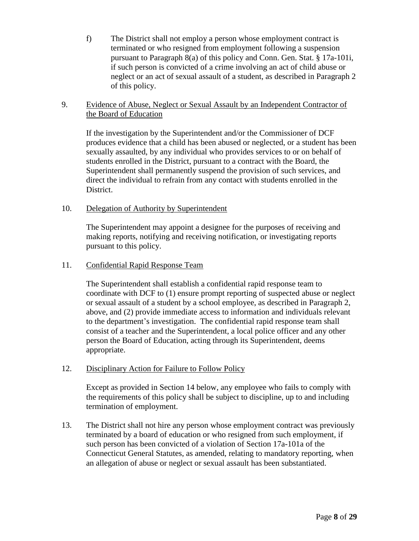f) The District shall not employ a person whose employment contract is terminated or who resigned from employment following a suspension pursuant to Paragraph 8(a) of this policy and Conn. Gen. Stat. § 17a-101i, if such person is convicted of a crime involving an act of child abuse or neglect or an act of sexual assault of a student, as described in Paragraph 2 of this policy.

### 9. Evidence of Abuse, Neglect or Sexual Assault by an Independent Contractor of the Board of Education

If the investigation by the Superintendent and/or the Commissioner of DCF produces evidence that a child has been abused or neglected, or a student has been sexually assaulted, by any individual who provides services to or on behalf of students enrolled in the District, pursuant to a contract with the Board, the Superintendent shall permanently suspend the provision of such services, and direct the individual to refrain from any contact with students enrolled in the District.

### 10. Delegation of Authority by Superintendent

The Superintendent may appoint a designee for the purposes of receiving and making reports, notifying and receiving notification, or investigating reports pursuant to this policy.

### 11. Confidential Rapid Response Team

The Superintendent shall establish a confidential rapid response team to coordinate with DCF to (1) ensure prompt reporting of suspected abuse or neglect or sexual assault of a student by a school employee, as described in Paragraph 2, above, and (2) provide immediate access to information and individuals relevant to the department's investigation. The confidential rapid response team shall consist of a teacher and the Superintendent, a local police officer and any other person the Board of Education, acting through its Superintendent, deems appropriate.

# 12. Disciplinary Action for Failure to Follow Policy

Except as provided in Section 14 below, any employee who fails to comply with the requirements of this policy shall be subject to discipline, up to and including termination of employment.

13. The District shall not hire any person whose employment contract was previously terminated by a board of education or who resigned from such employment, if such person has been convicted of a violation of Section 17a-101a of the Connecticut General Statutes, as amended, relating to mandatory reporting, when an allegation of abuse or neglect or sexual assault has been substantiated.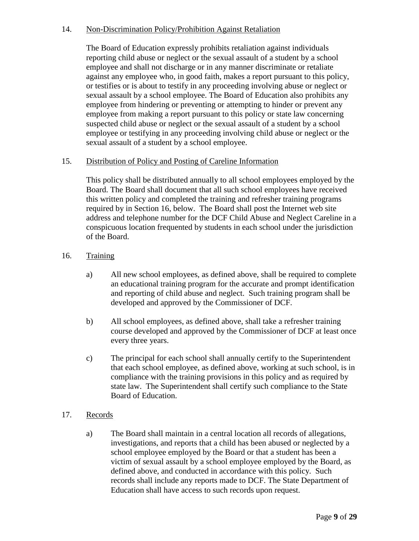### 14. Non-Discrimination Policy/Prohibition Against Retaliation

The Board of Education expressly prohibits retaliation against individuals reporting child abuse or neglect or the sexual assault of a student by a school employee and shall not discharge or in any manner discriminate or retaliate against any employee who, in good faith, makes a report pursuant to this policy, or testifies or is about to testify in any proceeding involving abuse or neglect or sexual assault by a school employee. The Board of Education also prohibits any employee from hindering or preventing or attempting to hinder or prevent any employee from making a report pursuant to this policy or state law concerning suspected child abuse or neglect or the sexual assault of a student by a school employee or testifying in any proceeding involving child abuse or neglect or the sexual assault of a student by a school employee.

### 15. Distribution of Policy and Posting of Careline Information

This policy shall be distributed annually to all school employees employed by the Board. The Board shall document that all such school employees have received this written policy and completed the training and refresher training programs required by in Section 16, below. The Board shall post the Internet web site address and telephone number for the DCF Child Abuse and Neglect Careline in a conspicuous location frequented by students in each school under the jurisdiction of the Board.

- 16. Training
	- a) All new school employees, as defined above, shall be required to complete an educational training program for the accurate and prompt identification and reporting of child abuse and neglect. Such training program shall be developed and approved by the Commissioner of DCF.
	- b) All school employees, as defined above, shall take a refresher training course developed and approved by the Commissioner of DCF at least once every three years.
	- c) The principal for each school shall annually certify to the Superintendent that each school employee, as defined above, working at such school, is in compliance with the training provisions in this policy and as required by state law. The Superintendent shall certify such compliance to the State Board of Education.
- 17. Records
	- a) The Board shall maintain in a central location all records of allegations, investigations, and reports that a child has been abused or neglected by a school employee employed by the Board or that a student has been a victim of sexual assault by a school employee employed by the Board, as defined above, and conducted in accordance with this policy. Such records shall include any reports made to DCF. The State Department of Education shall have access to such records upon request.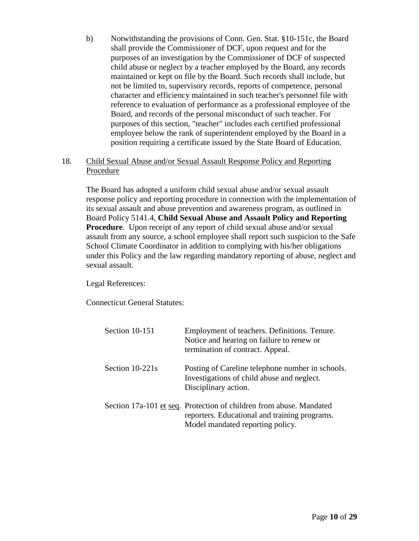b) Notwithstanding the provisions of Conn. Gen. Stat. §10-151c, the Board shall provide the Commissioner of DCF, upon request and for the purposes of an investigation by the Commissioner of DCF of suspected child abuse or neglect by a teacher employed by the Board, any records maintained or kept on file by the Board. Such records shall include, but not be limited to, supervisory records, reports of competence, personal character and efficiency maintained in such teacher's personnel file with reference to evaluation of performance as a professional employee of the Board, and records of the personal misconduct of such teacher. For purposes of this section, "teacher" includes each certified professional employee below the rank of superintendent employed by the Board in a position requiring a certificate issued by the State Board of Education.

### 18. Child Sexual Abuse and/or Sexual Assault Response Policy and Reporting Procedure

The Board has adopted a uniform child sexual abuse and/or sexual assault response policy and reporting procedure in connection with the implementation of its sexual assault and abuse prevention and awareness program, as outlined in Board Policy 5141.4, **Child Sexual Abuse and Assault Policy and Reporting Procedure.** Upon receipt of any report of child sexual abuse and/or sexual assault from any source, a school employee shall report such suspicion to the Safe School Climate Coordinator in addition to complying with his/her obligations under this Policy and the law regarding mandatory reporting of abuse, neglect and sexual assault.

Legal References:

Connecticut General Statutes:

| Section 10-151  | Employment of teachers. Definitions. Tenure.<br>Notice and hearing on failure to renew or<br>termination of contract. Appeal.                            |
|-----------------|----------------------------------------------------------------------------------------------------------------------------------------------------------|
| Section 10-221s | Posting of Careline telephone number in schools.<br>Investigations of child abuse and neglect.<br>Disciplinary action.                                   |
|                 | Section 17a-101 et seq. Protection of children from abuse. Mandated<br>reporters. Educational and training programs.<br>Model mandated reporting policy. |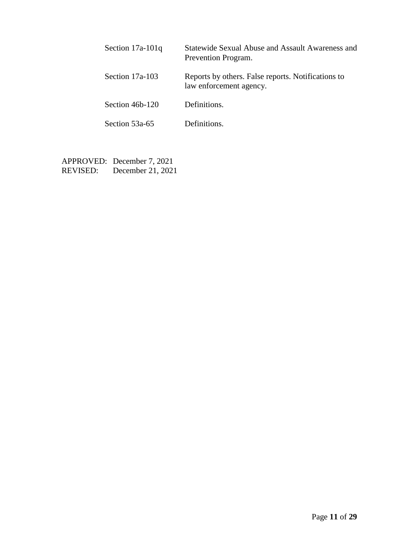| Section $17a-101q$ | <b>Statewide Sexual Abuse and Assault Awareness and</b><br>Prevention Program. |
|--------------------|--------------------------------------------------------------------------------|
| Section 17a-103    | Reports by others. False reports. Notifications to<br>law enforcement agency.  |
| Section 46b-120    | Definitions.                                                                   |
| Section 53a-65     | Definitions.                                                                   |

APPROVED: December 7, 2021 REVISED: December 21, 2021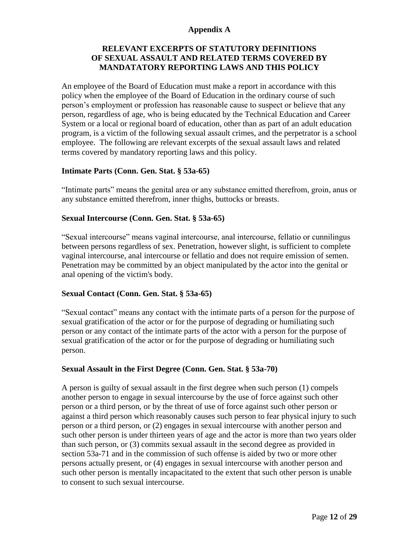### **Appendix A**

# **RELEVANT EXCERPTS OF STATUTORY DEFINITIONS OF SEXUAL ASSAULT AND RELATED TERMS COVERED BY MANDATATORY REPORTING LAWS AND THIS POLICY**

An employee of the Board of Education must make a report in accordance with this policy when the employee of the Board of Education in the ordinary course of such person's employment or profession has reasonable cause to suspect or believe that any person, regardless of age, who is being educated by the Technical Education and Career System or a local or regional board of education, other than as part of an adult education program, is a victim of the following sexual assault crimes, and the perpetrator is a school employee. The following are relevant excerpts of the sexual assault laws and related terms covered by mandatory reporting laws and this policy.

### **Intimate Parts (Conn. Gen. Stat. § 53a-65)**

"Intimate parts" means the genital area or any substance emitted therefrom, groin, anus or any substance emitted therefrom, inner thighs, buttocks or breasts.

### **Sexual Intercourse (Conn. Gen. Stat. § 53a-65)**

"Sexual intercourse" means vaginal intercourse, anal intercourse, fellatio or cunnilingus between persons regardless of sex. Penetration, however slight, is sufficient to complete vaginal intercourse, anal intercourse or fellatio and does not require emission of semen. Penetration may be committed by an object manipulated by the actor into the genital or anal opening of the victim's body.

### **Sexual Contact (Conn. Gen. Stat. § 53a-65)**

"Sexual contact" means any contact with the intimate parts of a person for the purpose of sexual gratification of the actor or for the purpose of degrading or humiliating such person or any contact of the intimate parts of the actor with a person for the purpose of sexual gratification of the actor or for the purpose of degrading or humiliating such person.

#### **Sexual Assault in the First Degree (Conn. Gen. Stat. § 53a-70)**

A person is guilty of sexual assault in the first degree when such person (1) compels another person to engage in sexual intercourse by the use of force against such other person or a third person, or by the threat of use of force against such other person or against a third person which reasonably causes such person to fear physical injury to such person or a third person, or (2) engages in sexual intercourse with another person and such other person is under thirteen years of age and the actor is more than two years older than such person, or (3) commits sexual assault in the second degree as provided in section 53a-71 and in the commission of such offense is aided by two or more other persons actually present, or (4) engages in sexual intercourse with another person and such other person is mentally incapacitated to the extent that such other person is unable to consent to such sexual intercourse.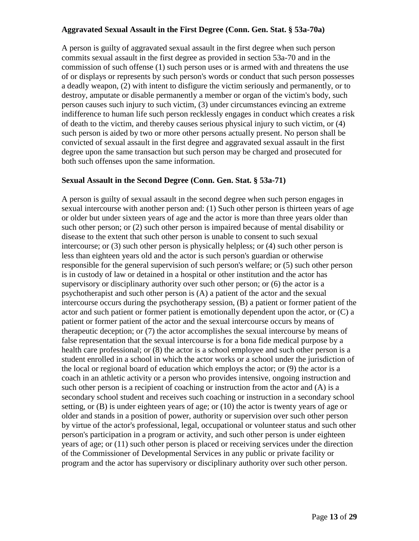# **Aggravated Sexual Assault in the First Degree (Conn. Gen. Stat. § 53a-70a)**

A person is guilty of aggravated sexual assault in the first degree when such person commits sexual assault in the first degree as provided in section 53a-70 and in the commission of such offense (1) such person uses or is armed with and threatens the use of or displays or represents by such person's words or conduct that such person possesses a deadly weapon, (2) with intent to disfigure the victim seriously and permanently, or to destroy, amputate or disable permanently a member or organ of the victim's body, such person causes such injury to such victim, (3) under circumstances evincing an extreme indifference to human life such person recklessly engages in conduct which creates a risk of death to the victim, and thereby causes serious physical injury to such victim, or (4) such person is aided by two or more other persons actually present. No person shall be convicted of sexual assault in the first degree and aggravated sexual assault in the first degree upon the same transaction but such person may be charged and prosecuted for both such offenses upon the same information.

# **Sexual Assault in the Second Degree (Conn. Gen. Stat. § 53a-71)**

A person is guilty of sexual assault in the second degree when such person engages in sexual intercourse with another person and: (1) Such other person is thirteen years of age or older but under sixteen years of age and the actor is more than three years older than such other person; or (2) such other person is impaired because of mental disability or disease to the extent that such other person is unable to consent to such sexual intercourse; or (3) such other person is physically helpless; or (4) such other person is less than eighteen years old and the actor is such person's guardian or otherwise responsible for the general supervision of such person's welfare; or (5) such other person is in custody of law or detained in a hospital or other institution and the actor has supervisory or disciplinary authority over such other person; or (6) the actor is a psychotherapist and such other person is (A) a patient of the actor and the sexual intercourse occurs during the psychotherapy session, (B) a patient or former patient of the actor and such patient or former patient is emotionally dependent upon the actor, or (C) a patient or former patient of the actor and the sexual intercourse occurs by means of therapeutic deception; or (7) the actor accomplishes the sexual intercourse by means of false representation that the sexual intercourse is for a bona fide medical purpose by a health care professional; or (8) the actor is a school employee and such other person is a student enrolled in a school in which the actor works or a school under the jurisdiction of the local or regional board of education which employs the actor; or (9) the actor is a coach in an athletic activity or a person who provides intensive, ongoing instruction and such other person is a recipient of coaching or instruction from the actor and  $(A)$  is a secondary school student and receives such coaching or instruction in a secondary school setting, or (B) is under eighteen years of age; or (10) the actor is twenty years of age or older and stands in a position of power, authority or supervision over such other person by virtue of the actor's professional, legal, occupational or volunteer status and such other person's participation in a program or activity, and such other person is under eighteen years of age; or (11) such other person is placed or receiving services under the direction of the Commissioner of Developmental Services in any public or private facility or program and the actor has supervisory or disciplinary authority over such other person.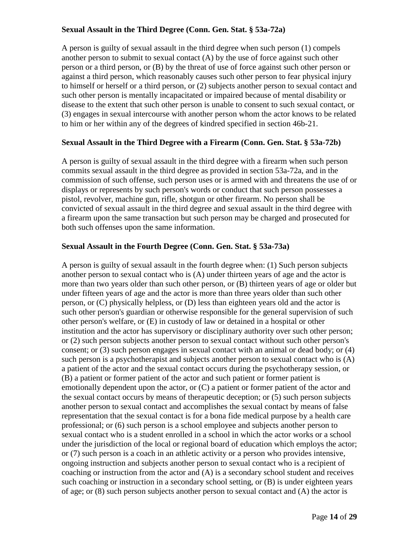# **Sexual Assault in the Third Degree (Conn. Gen. Stat. § 53a-72a)**

A person is guilty of sexual assault in the third degree when such person (1) compels another person to submit to sexual contact (A) by the use of force against such other person or a third person, or (B) by the threat of use of force against such other person or against a third person, which reasonably causes such other person to fear physical injury to himself or herself or a third person, or (2) subjects another person to sexual contact and such other person is mentally incapacitated or impaired because of mental disability or disease to the extent that such other person is unable to consent to such sexual contact, or (3) engages in sexual intercourse with another person whom the actor knows to be related to him or her within any of the degrees of kindred specified in section 46b-21.

# **Sexual Assault in the Third Degree with a Firearm (Conn. Gen. Stat. § 53a-72b)**

A person is guilty of sexual assault in the third degree with a firearm when such person commits sexual assault in the third degree as provided in section 53a-72a, and in the commission of such offense, such person uses or is armed with and threatens the use of or displays or represents by such person's words or conduct that such person possesses a pistol, revolver, machine gun, rifle, shotgun or other firearm. No person shall be convicted of sexual assault in the third degree and sexual assault in the third degree with a firearm upon the same transaction but such person may be charged and prosecuted for both such offenses upon the same information.

# **Sexual Assault in the Fourth Degree (Conn. Gen. Stat. § 53a-73a)**

A person is guilty of sexual assault in the fourth degree when: (1) Such person subjects another person to sexual contact who is (A) under thirteen years of age and the actor is more than two years older than such other person, or (B) thirteen years of age or older but under fifteen years of age and the actor is more than three years older than such other person, or (C) physically helpless, or (D) less than eighteen years old and the actor is such other person's guardian or otherwise responsible for the general supervision of such other person's welfare, or (E) in custody of law or detained in a hospital or other institution and the actor has supervisory or disciplinary authority over such other person; or (2) such person subjects another person to sexual contact without such other person's consent; or (3) such person engages in sexual contact with an animal or dead body; or (4) such person is a psychotherapist and subjects another person to sexual contact who is (A) a patient of the actor and the sexual contact occurs during the psychotherapy session, or (B) a patient or former patient of the actor and such patient or former patient is emotionally dependent upon the actor, or (C) a patient or former patient of the actor and the sexual contact occurs by means of therapeutic deception; or (5) such person subjects another person to sexual contact and accomplishes the sexual contact by means of false representation that the sexual contact is for a bona fide medical purpose by a health care professional; or (6) such person is a school employee and subjects another person to sexual contact who is a student enrolled in a school in which the actor works or a school under the jurisdiction of the local or regional board of education which employs the actor; or (7) such person is a coach in an athletic activity or a person who provides intensive, ongoing instruction and subjects another person to sexual contact who is a recipient of coaching or instruction from the actor and (A) is a secondary school student and receives such coaching or instruction in a secondary school setting, or (B) is under eighteen years of age; or (8) such person subjects another person to sexual contact and (A) the actor is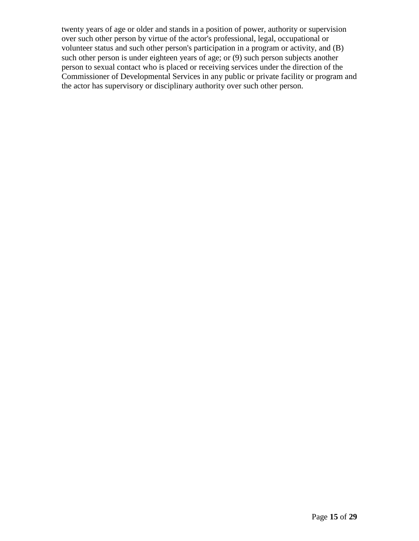twenty years of age or older and stands in a position of power, authority or supervision over such other person by virtue of the actor's professional, legal, occupational or volunteer status and such other person's participation in a program or activity, and (B) such other person is under eighteen years of age; or (9) such person subjects another person to sexual contact who is placed or receiving services under the direction of the Commissioner of Developmental Services in any public or private facility or program and the actor has supervisory or disciplinary authority over such other person.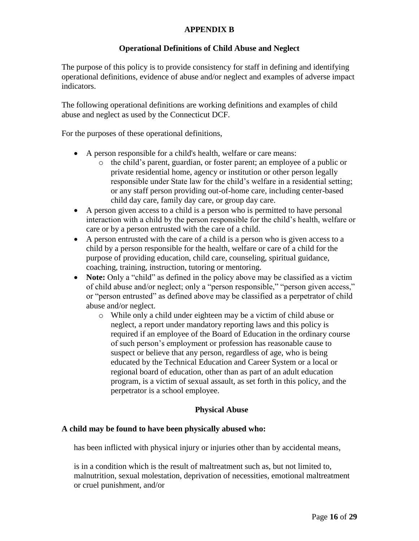# **APPENDIX B**

# **Operational Definitions of Child Abuse and Neglect**

The purpose of this policy is to provide consistency for staff in defining and identifying operational definitions, evidence of abuse and/or neglect and examples of adverse impact indicators.

The following operational definitions are working definitions and examples of child abuse and neglect as used by the Connecticut DCF.

For the purposes of these operational definitions,

- A person responsible for a child's health, welfare or care means:
	- o the child's parent, guardian, or foster parent; an employee of a public or private residential home, agency or institution or other person legally responsible under State law for the child's welfare in a residential setting; or any staff person providing out-of-home care, including center-based child day care, family day care, or group day care.
- A person given access to a child is a person who is permitted to have personal interaction with a child by the person responsible for the child's health, welfare or care or by a person entrusted with the care of a child.
- A person entrusted with the care of a child is a person who is given access to a child by a person responsible for the health, welfare or care of a child for the purpose of providing education, child care, counseling, spiritual guidance, coaching, training, instruction, tutoring or mentoring.
- **Note:** Only a "child" as defined in the policy above may be classified as a victim of child abuse and/or neglect; only a "person responsible," "person given access," or "person entrusted" as defined above may be classified as a perpetrator of child abuse and/or neglect.
	- o While only a child under eighteen may be a victim of child abuse or neglect, a report under mandatory reporting laws and this policy is required if an employee of the Board of Education in the ordinary course of such person's employment or profession has reasonable cause to suspect or believe that any person, regardless of age, who is being educated by the Technical Education and Career System or a local or regional board of education, other than as part of an adult education program, is a victim of sexual assault, as set forth in this policy, and the perpetrator is a school employee.

# **Physical Abuse**

### **A child may be found to have been physically abused who:**

has been inflicted with physical injury or injuries other than by accidental means,

is in a condition which is the result of maltreatment such as, but not limited to, malnutrition, sexual molestation, deprivation of necessities, emotional maltreatment or cruel punishment, and/or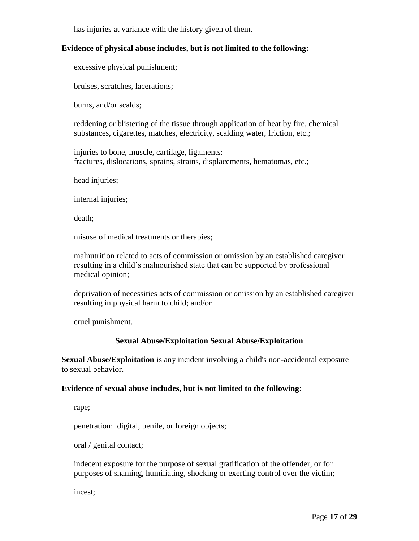has injuries at variance with the history given of them.

# **Evidence of physical abuse includes, but is not limited to the following:**

excessive physical punishment;

bruises, scratches, lacerations;

burns, and/or scalds;

reddening or blistering of the tissue through application of heat by fire, chemical substances, cigarettes, matches, electricity, scalding water, friction, etc.;

injuries to bone, muscle, cartilage, ligaments: fractures, dislocations, sprains, strains, displacements, hematomas, etc.;

head injuries;

internal injuries;

death;

misuse of medical treatments or therapies;

malnutrition related to acts of commission or omission by an established caregiver resulting in a child's malnourished state that can be supported by professional medical opinion;

deprivation of necessities acts of commission or omission by an established caregiver resulting in physical harm to child; and/or

cruel punishment.

### **Sexual Abuse/Exploitation Sexual Abuse/Exploitation**

**Sexual Abuse/Exploitation** is any incident involving a child's non-accidental exposure to sexual behavior.

### **Evidence of sexual abuse includes, but is not limited to the following:**

rape;

penetration: digital, penile, or foreign objects;

oral / genital contact;

indecent exposure for the purpose of sexual gratification of the offender, or for purposes of shaming, humiliating, shocking or exerting control over the victim;

incest;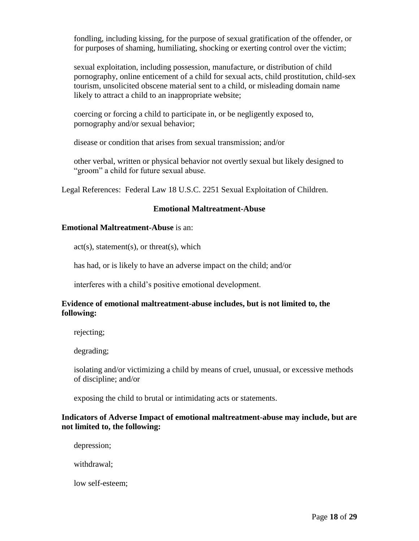fondling, including kissing, for the purpose of sexual gratification of the offender, or for purposes of shaming, humiliating, shocking or exerting control over the victim;

sexual exploitation, including possession, manufacture, or distribution of child pornography, online enticement of a child for sexual acts, child prostitution, child-sex tourism, unsolicited obscene material sent to a child, or misleading domain name likely to attract a child to an inappropriate website;

coercing or forcing a child to participate in, or be negligently exposed to, pornography and/or sexual behavior;

disease or condition that arises from sexual transmission; and/or

other verbal, written or physical behavior not overtly sexual but likely designed to "groom" a child for future sexual abuse.

Legal References: Federal Law 18 U.S.C. 2251 Sexual Exploitation of Children.

### **Emotional Maltreatment-Abuse**

### **Emotional Maltreatment-Abuse** is an:

 $act(s)$ , statement(s), or threat(s), which

has had, or is likely to have an adverse impact on the child; and/or

interferes with a child's positive emotional development.

### **Evidence of emotional maltreatment-abuse includes, but is not limited to, the following:**

rejecting;

degrading;

isolating and/or victimizing a child by means of cruel, unusual, or excessive methods of discipline; and/or

exposing the child to brutal or intimidating acts or statements.

### **Indicators of Adverse Impact of emotional maltreatment-abuse may include, but are not limited to, the following:**

depression;

withdrawal;

low self-esteem;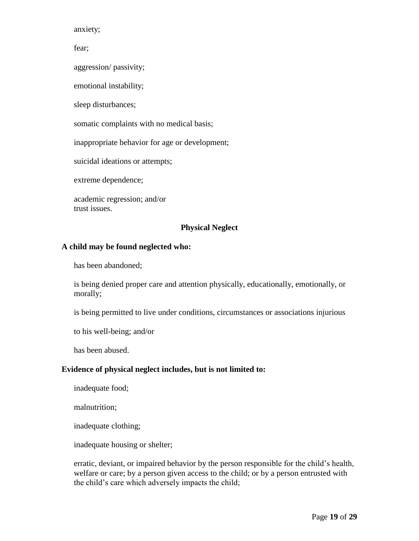anxiety;

fear;

aggression/ passivity;

emotional instability;

sleep disturbances;

somatic complaints with no medical basis;

inappropriate behavior for age or development;

suicidal ideations or attempts;

extreme dependence;

academic regression; and/or trust issues.

### **Physical Neglect**

### **A child may be found neglected who:**

has been abandoned;

is being denied proper care and attention physically, educationally, emotionally, or morally;

is being permitted to live under conditions, circumstances or associations injurious

to his well-being; and/or

has been abused.

#### **Evidence of physical neglect includes, but is not limited to:**

inadequate food;

malnutrition;

inadequate clothing;

inadequate housing or shelter;

erratic, deviant, or impaired behavior by the person responsible for the child's health, welfare or care; by a person given access to the child; or by a person entrusted with the child's care which adversely impacts the child;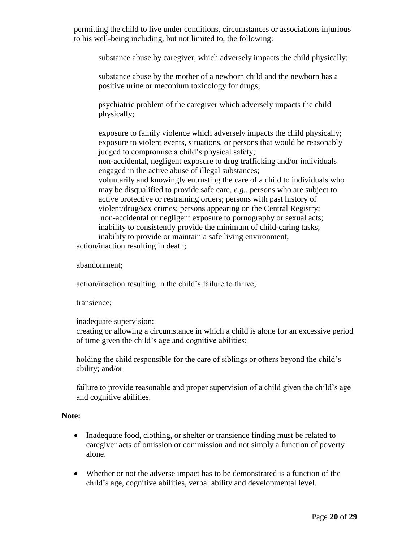permitting the child to live under conditions, circumstances or associations injurious to his well-being including, but not limited to, the following:

substance abuse by caregiver, which adversely impacts the child physically;

substance abuse by the mother of a newborn child and the newborn has a positive urine or meconium toxicology for drugs;

psychiatric problem of the caregiver which adversely impacts the child physically;

exposure to family violence which adversely impacts the child physically; exposure to violent events, situations, or persons that would be reasonably judged to compromise a child's physical safety; non-accidental, negligent exposure to drug trafficking and/or individuals engaged in the active abuse of illegal substances; voluntarily and knowingly entrusting the care of a child to individuals who may be disqualified to provide safe care, *e.g.,* persons who are subject to active protective or restraining orders; persons with past history of violent/drug/sex crimes; persons appearing on the Central Registry; non-accidental or negligent exposure to pornography or sexual acts; inability to consistently provide the minimum of child-caring tasks; inability to provide or maintain a safe living environment;

action/inaction resulting in death;

abandonment;

action/inaction resulting in the child's failure to thrive;

transience;

inadequate supervision:

creating or allowing a circumstance in which a child is alone for an excessive period of time given the child's age and cognitive abilities;

holding the child responsible for the care of siblings or others beyond the child's ability; and/or

failure to provide reasonable and proper supervision of a child given the child's age and cognitive abilities.

# **Note:**

- Inadequate food, clothing, or shelter or transience finding must be related to caregiver acts of omission or commission and not simply a function of poverty alone.
- Whether or not the adverse impact has to be demonstrated is a function of the child's age, cognitive abilities, verbal ability and developmental level.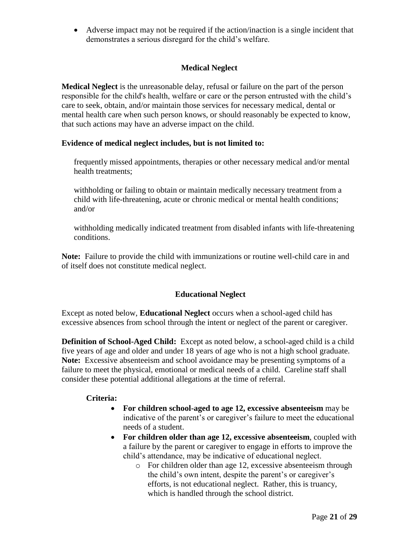Adverse impact may not be required if the action/inaction is a single incident that demonstrates a serious disregard for the child's welfare.

# **Medical Neglect**

**Medical Neglect** is the unreasonable delay, refusal or failure on the part of the person responsible for the child's health, welfare or care or the person entrusted with the child's care to seek, obtain, and/or maintain those services for necessary medical, dental or mental health care when such person knows, or should reasonably be expected to know, that such actions may have an adverse impact on the child.

### **Evidence of medical neglect includes, but is not limited to:**

frequently missed appointments, therapies or other necessary medical and/or mental health treatments;

withholding or failing to obtain or maintain medically necessary treatment from a child with life-threatening, acute or chronic medical or mental health conditions; and/or

withholding medically indicated treatment from disabled infants with life-threatening conditions.

**Note:** Failure to provide the child with immunizations or routine well-child care in and of itself does not constitute medical neglect.

# **Educational Neglect**

Except as noted below, **Educational Neglect** occurs when a school-aged child has excessive absences from school through the intent or neglect of the parent or caregiver.

**Definition of School-Aged Child:** Except as noted below, a school-aged child is a child five years of age and older and under 18 years of age who is not a high school graduate. **Note:** Excessive absenteeism and school avoidance may be presenting symptoms of a failure to meet the physical, emotional or medical needs of a child. Careline staff shall consider these potential additional allegations at the time of referral.

### **Criteria:**

- **For children school-aged to age 12, excessive absenteeism** may be indicative of the parent's or caregiver's failure to meet the educational needs of a student.
- **For children older than age 12, excessive absenteeism**, coupled with a failure by the parent or caregiver to engage in efforts to improve the child's attendance, may be indicative of educational neglect.
	- o For children older than age 12, excessive absenteeism through the child's own intent, despite the parent's or caregiver's efforts, is not educational neglect. Rather, this is truancy, which is handled through the school district.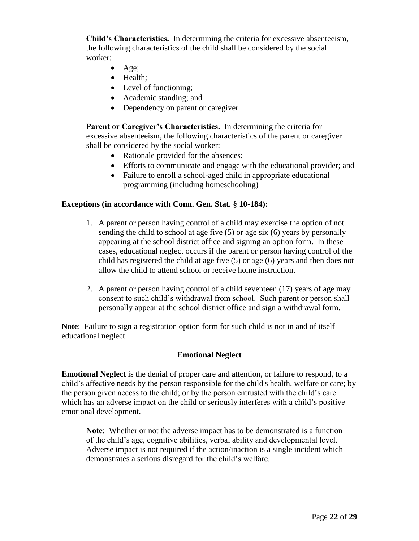**Child's Characteristics.** In determining the criteria for excessive absenteeism, the following characteristics of the child shall be considered by the social worker:

- $\bullet$  Age;
- Health:
- Level of functioning;
- Academic standing; and
- Dependency on parent or caregiver

**Parent or Caregiver's Characteristics.** In determining the criteria for excessive absenteeism, the following characteristics of the parent or caregiver shall be considered by the social worker:

- Rationale provided for the absences;
- Efforts to communicate and engage with the educational provider; and
- Failure to enroll a school-aged child in appropriate educational programming (including homeschooling)

### **Exceptions (in accordance with Conn. Gen. Stat. § 10-184):**

- 1. A parent or person having control of a child may exercise the option of not sending the child to school at age five (5) or age six (6) years by personally appearing at the school district office and signing an option form. In these cases, educational neglect occurs if the parent or person having control of the child has registered the child at age five (5) or age (6) years and then does not allow the child to attend school or receive home instruction.
- 2. A parent or person having control of a child seventeen (17) years of age may consent to such child's withdrawal from school. Such parent or person shall personally appear at the school district office and sign a withdrawal form.

**Note**: Failure to sign a registration option form for such child is not in and of itself educational neglect.

# **Emotional Neglect**

**Emotional Neglect** is the denial of proper care and attention, or failure to respond, to a child's affective needs by the person responsible for the child's health, welfare or care; by the person given access to the child; or by the person entrusted with the child's care which has an adverse impact on the child or seriously interferes with a child's positive emotional development.

**Note**: Whether or not the adverse impact has to be demonstrated is a function of the child's age, cognitive abilities, verbal ability and developmental level. Adverse impact is not required if the action/inaction is a single incident which demonstrates a serious disregard for the child's welfare.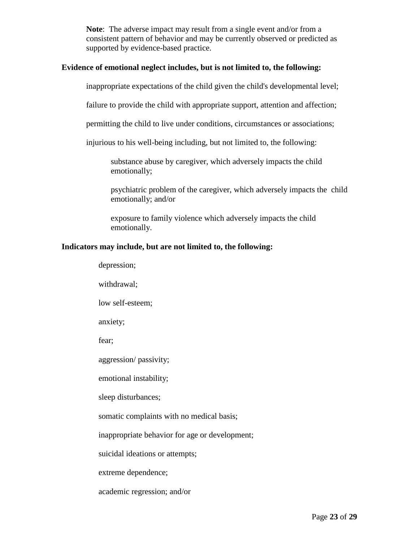**Note**: The adverse impact may result from a single event and/or from a consistent pattern of behavior and may be currently observed or predicted as supported by evidence-based practice.

### **Evidence of emotional neglect includes, but is not limited to, the following:**

inappropriate expectations of the child given the child's developmental level;

failure to provide the child with appropriate support, attention and affection;

permitting the child to live under conditions, circumstances or associations;

injurious to his well-being including, but not limited to, the following:

substance abuse by caregiver, which adversely impacts the child emotionally;

psychiatric problem of the caregiver, which adversely impacts the child emotionally; and/or

exposure to family violence which adversely impacts the child emotionally.

#### **Indicators may include, but are not limited to, the following:**

depression;

withdrawal;

low self-esteem;

anxiety;

fear;

aggression/ passivity;

emotional instability;

sleep disturbances;

somatic complaints with no medical basis;

inappropriate behavior for age or development;

suicidal ideations or attempts;

extreme dependence;

academic regression; and/or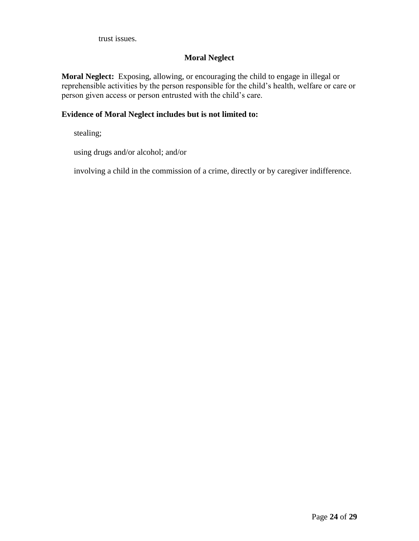trust issues.

# **Moral Neglect**

**Moral Neglect:** Exposing, allowing, or encouraging the child to engage in illegal or reprehensible activities by the person responsible for the child's health, welfare or care or person given access or person entrusted with the child's care.

# **Evidence of Moral Neglect includes but is not limited to:**

stealing;

using drugs and/or alcohol; and/or

involving a child in the commission of a crime, directly or by caregiver indifference.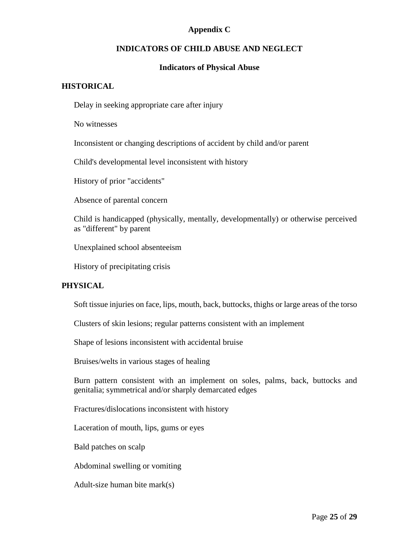# **Appendix C**

# **INDICATORS OF CHILD ABUSE AND NEGLECT**

# **Indicators of Physical Abuse**

# **HISTORICAL**

Delay in seeking appropriate care after injury

No witnesses

Inconsistent or changing descriptions of accident by child and/or parent

Child's developmental level inconsistent with history

History of prior "accidents"

Absence of parental concern

Child is handicapped (physically, mentally, developmentally) or otherwise perceived as "different" by parent

Unexplained school absenteeism

History of precipitating crisis

# **PHYSICAL**

Soft tissue injuries on face, lips, mouth, back, buttocks, thighs or large areas of the torso

Clusters of skin lesions; regular patterns consistent with an implement

Shape of lesions inconsistent with accidental bruise

Bruises/welts in various stages of healing

Burn pattern consistent with an implement on soles, palms, back, buttocks and genitalia; symmetrical and/or sharply demarcated edges

Fractures/dislocations inconsistent with history

Laceration of mouth, lips, gums or eyes

Bald patches on scalp

Abdominal swelling or vomiting

Adult-size human bite mark(s)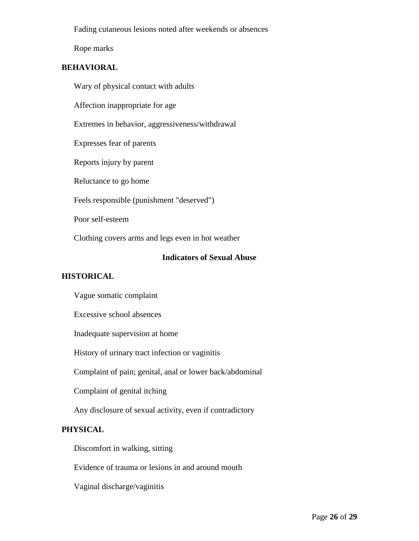Fading cutaneous lesions noted after weekends or absences

Rope marks

# **BEHAVIORAL**

Wary of physical contact with adults

Affection inappropriate for age

Extremes in behavior, aggressiveness/withdrawal

Expresses fear of parents

Reports injury by parent

Reluctance to go home

Feels responsible (punishment "deserved")

Poor self-esteem

Clothing covers arms and legs even in hot weather

### **Indicators of Sexual Abuse**

# **HISTORICAL**

Vague somatic complaint

Excessive school absences

Inadequate supervision at home

History of urinary tract infection or vaginitis

Complaint of pain; genital, anal or lower back/abdominal

Complaint of genital itching

Any disclosure of sexual activity, even if contradictory

# **PHYSICAL**

Discomfort in walking, sitting

Evidence of trauma or lesions in and around mouth

Vaginal discharge/vaginitis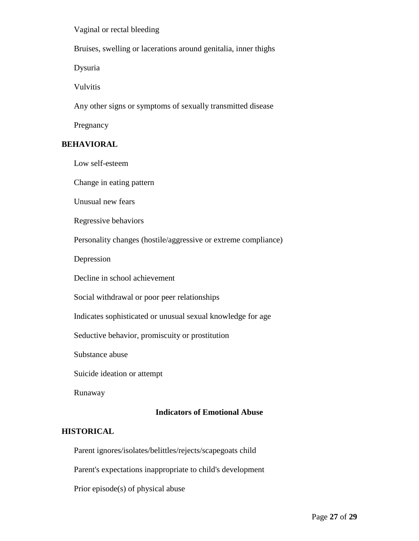Vaginal or rectal bleeding

Bruises, swelling or lacerations around genitalia, inner thighs

Dysuria

Vulvitis

Any other signs or symptoms of sexually transmitted disease

Pregnancy

### **BEHAVIORAL**

Low self-esteem

Change in eating pattern

Unusual new fears

Regressive behaviors

Personality changes (hostile/aggressive or extreme compliance)

Depression

Decline in school achievement

Social withdrawal or poor peer relationships

Indicates sophisticated or unusual sexual knowledge for age

Seductive behavior, promiscuity or prostitution

Substance abuse

Suicide ideation or attempt

Runaway

### **Indicators of Emotional Abuse**

### **HISTORICAL**

Parent ignores/isolates/belittles/rejects/scapegoats child

Parent's expectations inappropriate to child's development

Prior episode(s) of physical abuse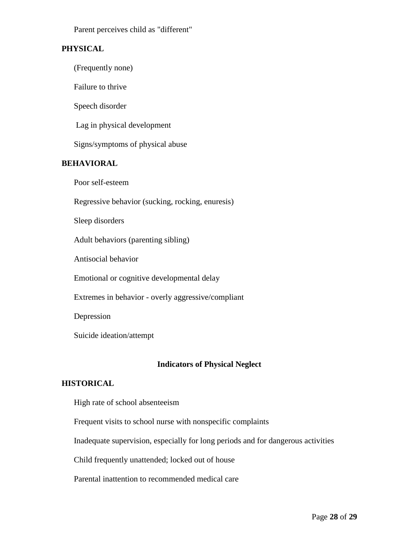Parent perceives child as "different"

### **PHYSICAL**

(Frequently none)

Failure to thrive

Speech disorder

Lag in physical development

Signs/symptoms of physical abuse

### **BEHAVIORAL**

Poor self-esteem

Regressive behavior (sucking, rocking, enuresis)

Sleep disorders

Adult behaviors (parenting sibling)

Antisocial behavior

Emotional or cognitive developmental delay

Extremes in behavior - overly aggressive/compliant

Depression

Suicide ideation/attempt

### **Indicators of Physical Neglect**

# **HISTORICAL**

High rate of school absenteeism

Frequent visits to school nurse with nonspecific complaints

Inadequate supervision, especially for long periods and for dangerous activities

Child frequently unattended; locked out of house

Parental inattention to recommended medical care